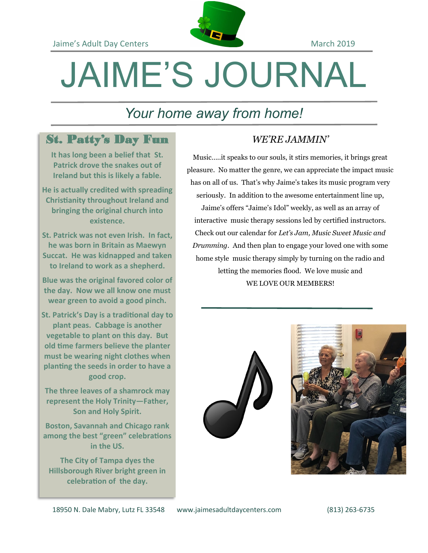

# JAIME'S JOURNAL

## *Your home away from home!*

### St. Patty's Day Fun

**It has long been a belief that St. Patrick drove the snakes out of Ireland but this is likely a fable.**

**He is actually credited with spreading Christianity throughout Ireland and bringing the original church into existence.** 

**St. Patrick was not even Irish. In fact, he was born in Britain as Maewyn Succat. He was kidnapped and taken to Ireland to work as a shepherd.**

**Blue was the original favored color of the day. Now we all know one must wear green to avoid a good pinch.**

**St. Patrick's Day is a traditional day to plant peas. Cabbage is another vegetable to plant on this day. But old time farmers believe the planter must be wearing night clothes when planting the seeds in order to have a good crop.**

**The three leaves of a shamrock may represent the Holy Trinity—Father, Son and Holy Spirit.**

**Boston, Savannah and Chicago rank among the best "green" celebrations in the US.**

**The City of Tampa dyes the Hillsborough River bright green in celebration of the day.**

#### *WE'RE JAMMIN'*

Music…..it speaks to our souls, it stirs memories, it brings great pleasure. No matter the genre, we can appreciate the impact music has on all of us. That's why Jaime's takes its music program very seriously. In addition to the awesome entertainment line up, Jaime's offers "Jaime's Idol" weekly, as well as an array of interactive music therapy sessions led by certified instructors. Check out our calendar for *Let's Jam, Music Sweet Music and Drumming.* And then plan to engage your loved one with some home style music therapy simply by turning on the radio and letting the memories flood. We love music and WE LOVE OUR MEMBERS!



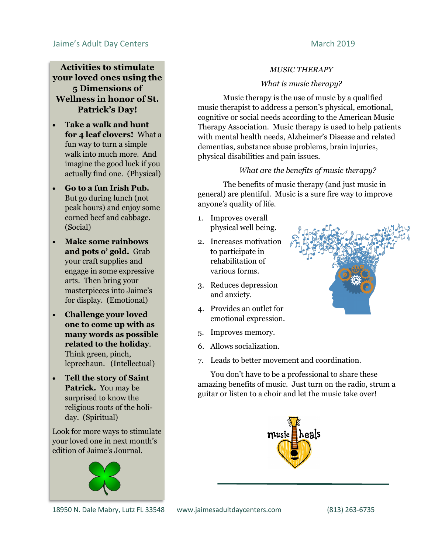#### Jaime's Adult Day Centers **March 2019** March 2019

#### **Activities to stimulate your loved ones using the 5 Dimensions of Wellness in honor of St. Patrick's Day!**

- **Take a walk and hunt for 4 leaf clovers!** What a fun way to turn a simple walk into much more. And imagine the good luck if you actually find one. (Physical)
- **Go to a fun Irish Pub.** But go during lunch (not peak hours) and enjoy some corned beef and cabbage. (Social)
- **Make some rainbows and pots o' gold.** Grab your craft supplies and engage in some expressive arts. Then bring your masterpieces into Jaime's for display. (Emotional)
- **Challenge your loved one to come up with as many words as possible related to the holiday**. Think green, pinch, leprechaun. (Intellectual)
- **Tell the story of Saint Patrick.** You may be surprised to know the religious roots of the holiday. (Spiritual)

Look for more ways to stimulate your loved one in next month's edition of Jaime's Journal.



18950 N. Dale Mabry, Lutz FL 33548 www.jaimesadultdaycenters.com (813) 263-6735

#### *MUSIC THERAPY*

#### *What is music therapy?*

Music therapy is the use of music by a qualified music therapist to address a person's physical, emotional, cognitive or social needs according to the American Music Therapy Association. Music therapy is used to help patients with mental health needs, Alzheimer's Disease and related dementias, substance abuse problems, brain injuries, physical disabilities and pain issues.

#### *What are the benefits of music therapy?*

The benefits of music therapy (and just music in general) are plentiful. Music is a sure fire way to improve anyone's quality of life.

- 1. Improves overall physical well being.
- 2. Increases motivation to participate in rehabilitation of various forms.
- 3. Reduces depression and anxiety.
- 4. Provides an outlet for emotional expression.
- 5. Improves memory.
- 6. Allows socialization.
- 7. Leads to better movement and coordination.

 You don't have to be a professional to share these amazing benefits of music. Just turn on the radio, strum a guitar or listen to a choir and let the music take over!



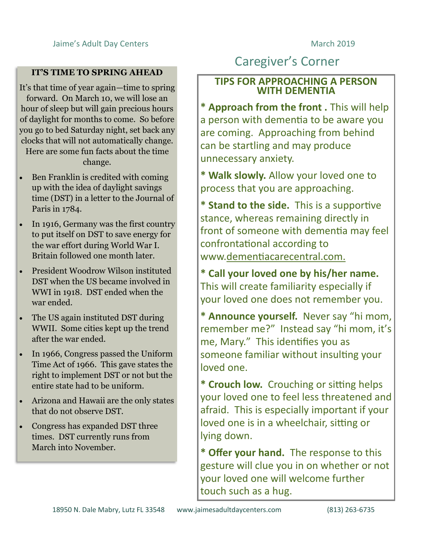#### **IT'S TIME TO SPRING AHEAD**

It's that time of year again—time to spring forward. On March 10, we will lose an hour of sleep but will gain precious hours of daylight for months to come. So before you go to bed Saturday night, set back any clocks that will not automatically change. Here are some fun facts about the time

change.

- Ben Franklin is credited with coming up with the idea of daylight savings time (DST) in a letter to the Journal of Paris in 1784.
- In 1916, Germany was the first country to put itself on DST to save energy for the war effort during World War I. Britain followed one month later.
- President Woodrow Wilson instituted DST when the US became involved in WWI in 1918. DST ended when the war ended.
- The US again instituted DST during WWII. Some cities kept up the trend after the war ended.
- In 1966, Congress passed the Uniform Time Act of 1966. This gave states the right to implement DST or not but the entire state had to be uniform.
- Arizona and Hawaii are the only states that do not observe DST.
- Congress has expanded DST three times. DST currently runs from March into November.

# Caregiver's Corner

#### **TIPS FOR APPROACHING A PERSON WITH DEMENTIA**

**\* Approach from the front .** This will help a person with dementia to be aware you are coming. Approaching from behind can be startling and may produce unnecessary anxiety.

**\* Walk slowly.** Allow your loved one to process that you are approaching.

**\* Stand to the side.** This is a supportive stance, whereas remaining directly in front of someone with dementia may feel confrontational according to www.dementiacarecentral.com.

**\* Call your loved one by his/her name.**  This will create familiarity especially if your loved one does not remember you.

**\* Announce yourself.** Never say "hi mom, remember me?" Instead say "hi mom, it's me, Mary." This identifies you as someone familiar without insulting your loved one.

**\* Crouch low.** Crouching or sitting helps your loved one to feel less threatened and afraid. This is especially important if your loved one is in a wheelchair, sitting or lying down.

**\* Offer your hand.** The response to this gesture will clue you in on whether or not your loved one will welcome further touch such as a hug.